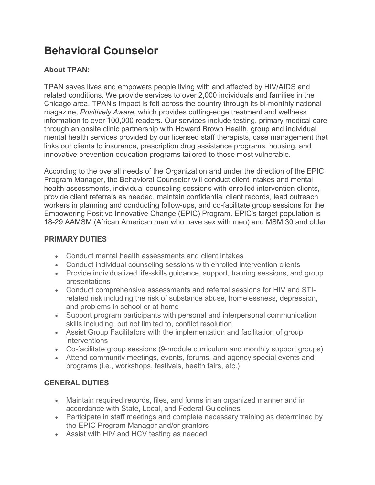# **Behavioral Counselor**

## **About TPAN:**

TPAN saves lives and empowers people living with and affected by HIV/AIDS and related conditions. We provide services to over 2,000 individuals and families in the Chicago area. TPAN's impact is felt across the country through its bi-monthly national magazine, *Positively Aware*, which provides cutting-edge treatment and wellness information to over 100,000 readers**.** Our services include testing, primary medical care through an onsite clinic partnership with Howard Brown Health, group and individual mental health services provided by our licensed staff therapists, case management that links our clients to insurance, prescription drug assistance programs, housing, and innovative prevention education programs tailored to those most vulnerable.

According to the overall needs of the Organization and under the direction of the EPIC Program Manager, the Behavioral Counselor will conduct client intakes and mental health assessments, individual counseling sessions with enrolled intervention clients, provide client referrals as needed, maintain confidential client records, lead outreach workers in planning and conducting follow-ups, and co-facilitate group sessions for the Empowering Positive Innovative Change (EPIC) Program. EPIC's target population is 18-29 AAMSM (African American men who have sex with men) and MSM 30 and older.

### **PRIMARY DUTIES**

- Conduct mental health assessments and client intakes
- Conduct individual counseling sessions with enrolled intervention clients
- Provide individualized life-skills guidance, support, training sessions, and group presentations
- Conduct comprehensive assessments and referral sessions for HIV and STIrelated risk including the risk of substance abuse, homelessness, depression, and problems in school or at home
- Support program participants with personal and interpersonal communication skills including, but not limited to, conflict resolution
- Assist Group Facilitators with the implementation and facilitation of group interventions
- Co-facilitate group sessions (9-module curriculum and monthly support groups)
- Attend community meetings, events, forums, and agency special events and programs (i.e., workshops, festivals, health fairs, etc.)

### **GENERAL DUTIES**

- Maintain required records, files, and forms in an organized manner and in accordance with State, Local, and Federal Guidelines
- Participate in staff meetings and complete necessary training as determined by the EPIC Program Manager and/or grantors
- Assist with HIV and HCV testing as needed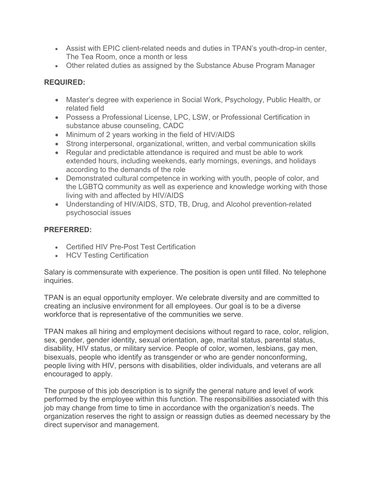- Assist with EPIC client-related needs and duties in TPAN's youth-drop-in center, The Tea Room, once a month or less
- Other related duties as assigned by the Substance Abuse Program Manager

### **REQUIRED:**

- Master's degree with experience in Social Work, Psychology, Public Health, or related field
- Possess a Professional License, LPC, LSW, or Professional Certification in substance abuse counseling, CADC
- Minimum of 2 years working in the field of HIV/AIDS
- Strong interpersonal, organizational, written, and verbal communication skills
- Regular and predictable attendance is required and must be able to work extended hours, including weekends, early mornings, evenings, and holidays according to the demands of the role
- Demonstrated cultural competence in working with youth, people of color, and the LGBTQ community as well as experience and knowledge working with those living with and affected by HIV/AIDS
- Understanding of HIV/AIDS, STD, TB, Drug, and Alcohol prevention-related psychosocial issues

### **PREFERRED:**

- Certified HIV Pre-Post Test Certification
- HCV Testing Certification

Salary is commensurate with experience. The position is open until filled. No telephone inquiries.

TPAN is an equal opportunity employer. We celebrate diversity and are committed to creating an inclusive environment for all employees. Our goal is to be a diverse workforce that is representative of the communities we serve.

TPAN makes all hiring and employment decisions without regard to race, color, religion, sex, gender, gender identity, sexual orientation, age, marital status, parental status, disability, HIV status, or military service. People of color, women, lesbians, gay men, bisexuals, people who identify as transgender or who are gender nonconforming, people living with HIV, persons with disabilities, older individuals, and veterans are all encouraged to apply.

The purpose of this job description is to signify the general nature and level of work performed by the employee within this function. The responsibilities associated with this job may change from time to time in accordance with the organization's needs. The organization reserves the right to assign or reassign duties as deemed necessary by the direct supervisor and management.